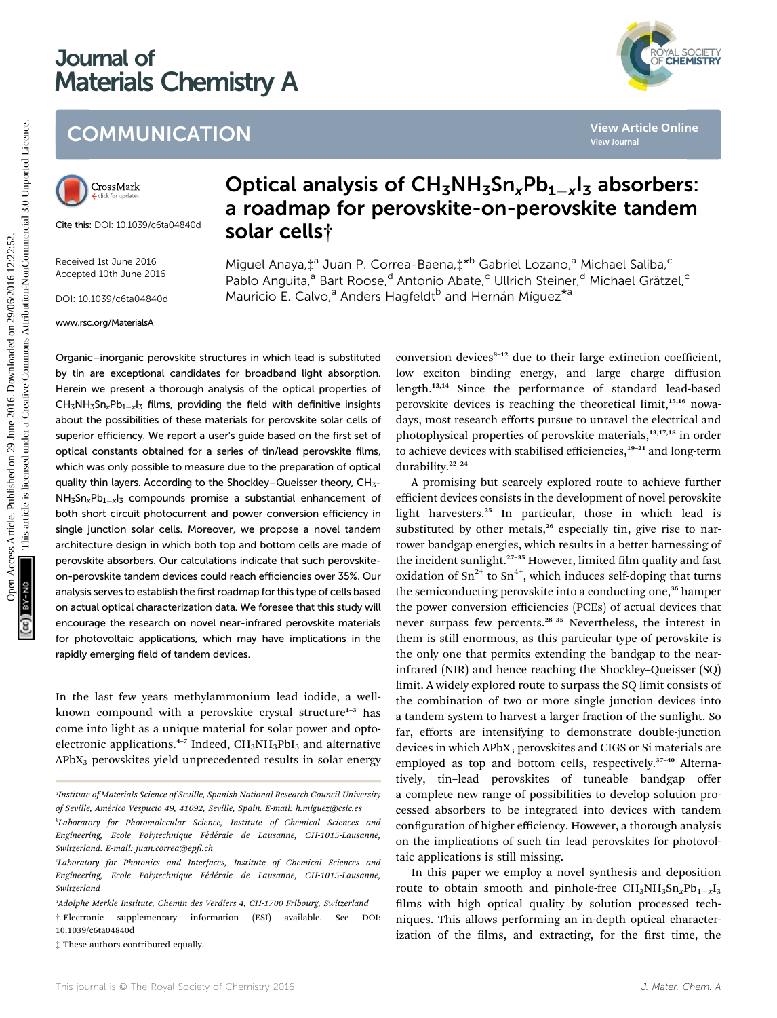# Journal of Materials Chemistry A



# **COMMUNICATION**



Cite this: DOI: 10.1039/c6ta04840d

Received 1st June 2016 Accepted 10th June 2016

DOI: 10.1039/c6ta04840d

#### www.rsc.org/MaterialsA

# Optical analysis of  $CH_3NH_3Sn_xPb_{1-x}I_3$  absorbers: a roadmap for perovskite-on-perovskite tandem solar cells†

Miguel Anaya,‡<sup>a</sup> Juan P. Correa-Baena,‡<sup>\*b</sup> Gabriel Lozano,<sup>a</sup> Michael Saliba,<sup>c</sup> Pablo Anguita,<sup>a</sup> Bart Roose,<sup>d</sup> Antonio Abate,<sup>c</sup> Ullrich Steiner,<sup>d</sup> Michael Grätzel,<sup>c</sup> Mauricio E. Calvo,<sup>a</sup> Anders Hagfeldt<sup>b</sup> and Hernán Míquez<sup>\*a</sup>

Organic–inorganic perovskite structures in which lead is substituted by tin are exceptional candidates for broadband light absorption. Herein we present a thorough analysis of the optical properties of  $CH_3NH_3Sn_xPb_{1-x}I_3$  films, providing the field with definitive insights about the possibilities of these materials for perovskite solar cells of superior efficiency. We report a user's guide based on the first set of optical constants obtained for a series of tin/lead perovskite films, which was only possible to measure due to the preparation of optical quality thin layers. According to the Shockley–Queisser theory, CH<sub>3</sub>- $NH_5$ Sn<sub>x</sub>Pb<sub>1-x</sub>l<sub>3</sub> compounds promise a substantial enhancement of both short circuit photocurrent and power conversion efficiency in single junction solar cells. Moreover, we propose a novel tandem architecture design in which both top and bottom cells are made of perovskite absorbers. Our calculations indicate that such perovskiteon-perovskite tandem devices could reach efficiencies over 35%. Our analysis serves to establish the first roadmap for this type of cells based on actual optical characterization data. We foresee that this study will encourage the research on novel near-infrared perovskite materials for photovoltaic applications, which may have implications in the rapidly emerging field of tandem devices. COMMUNICATION<br>
COMMUNICATION<br>
Optical analysis of  $CH_5NH_3Sn_xPb_{1-x}I_3$  absorbers:<br>
a roadmap for perovskite-on-perovskite tandem<br>
and map for  $CH_5NH_3Sn_xPb_{1-x}I_3$  absorbers:<br>
a roadmap for perovskite-on-perovskite tandem<br>
s

In the last few years methylammonium lead iodide, a wellknown compound with a perovskite crystal structure $1-3$  has come into light as a unique material for solar power and optoelectronic applications.<sup>4-7</sup> Indeed, CH<sub>3</sub>NH<sub>3</sub>PbI<sub>3</sub> and alternative APbX3 perovskites yield unprecedented results in solar energy

d Adolphe Merkle Institute, Chemin des Verdiers 4, CH-1700 Fribourg, Switzerland

† Electronic supplementary information (ESI) available. See DOI: 10.1039/c6ta04840d

‡ These authors contributed equally.

conversion devices<sup>8-12</sup> due to their large extinction coefficient, low exciton binding energy, and large charge diffusion length.13,14 Since the performance of standard lead-based perovskite devices is reaching the theoretical limit,<sup>15,16</sup> nowadays, most research efforts pursue to unravel the electrical and photophysical properties of perovskite materials,<sup>13,17,18</sup> in order to achieve devices with stabilised efficiencies,<sup>19-21</sup> and long-term durability.<sup>22</sup>–<sup>24</sup>

A promising but scarcely explored route to achieve further efficient devices consists in the development of novel perovskite light harvesters.<sup>25</sup> In particular, those in which lead is substituted by other metals, $26$  especially tin, give rise to narrower bandgap energies, which results in a better harnessing of the incident sunlight. $27-35$  However, limited film quality and fast oxidation of  $\text{Sn}^{2+}$  to  $\text{Sn}^{4+}$ , which induces self-doping that turns the semiconducting perovskite into a conducting one,<sup>36</sup> hamper the power conversion efficiencies (PCEs) of actual devices that never surpass few percents.<sup>28</sup>–<sup>35</sup> Nevertheless, the interest in them is still enormous, as this particular type of perovskite is the only one that permits extending the bandgap to the nearinfrared (NIR) and hence reaching the Shockley–Queisser (SQ) limit. A widely explored route to surpass the SQ limit consists of the combination of two or more single junction devices into a tandem system to harvest a larger fraction of the sunlight. So far, efforts are intensifying to demonstrate double-junction devices in which APbX<sub>3</sub> perovskites and CIGS or Si materials are employed as top and bottom cells, respectively.<sup>37-40</sup> Alternatively, tin–lead perovskites of tuneable bandgap offer a complete new range of possibilities to develop solution processed absorbers to be integrated into devices with tandem configuration of higher efficiency. However, a thorough analysis on the implications of such tin–lead perovskites for photovoltaic applications is still missing.

In this paper we employ a novel synthesis and deposition route to obtain smooth and pinhole-free  $\text{CH}_3\text{NH}_3\text{Sn}_x\text{Pb}_{1-x}\text{I}_3$ films with high optical quality by solution processed techniques. This allows performing an in-depth optical characterization of the films, and extracting, for the first time, the

a Institute of Materials Science of Seville, Spanish National Research Council-University of Seville, Am´erico Vespucio 49, 41092, Seville, Spain. E-mail: h.miguez@csic.es

<sup>&</sup>lt;sup>b</sup>Laboratory for Photomolecular Science, Institute of Chemical Sciences and Engineering, Ecole Polytechnique Fédérale de Lausanne, CH-1015-Lausanne, Switzerland. E-mail: juan.correa@epfl.ch

Laboratory for Photonics and Interfaces, Institute of Chemical Sciences and Engineering, Ecole Polytechnique Fédérale de Lausanne, CH-1015-Lausanne, Switzerland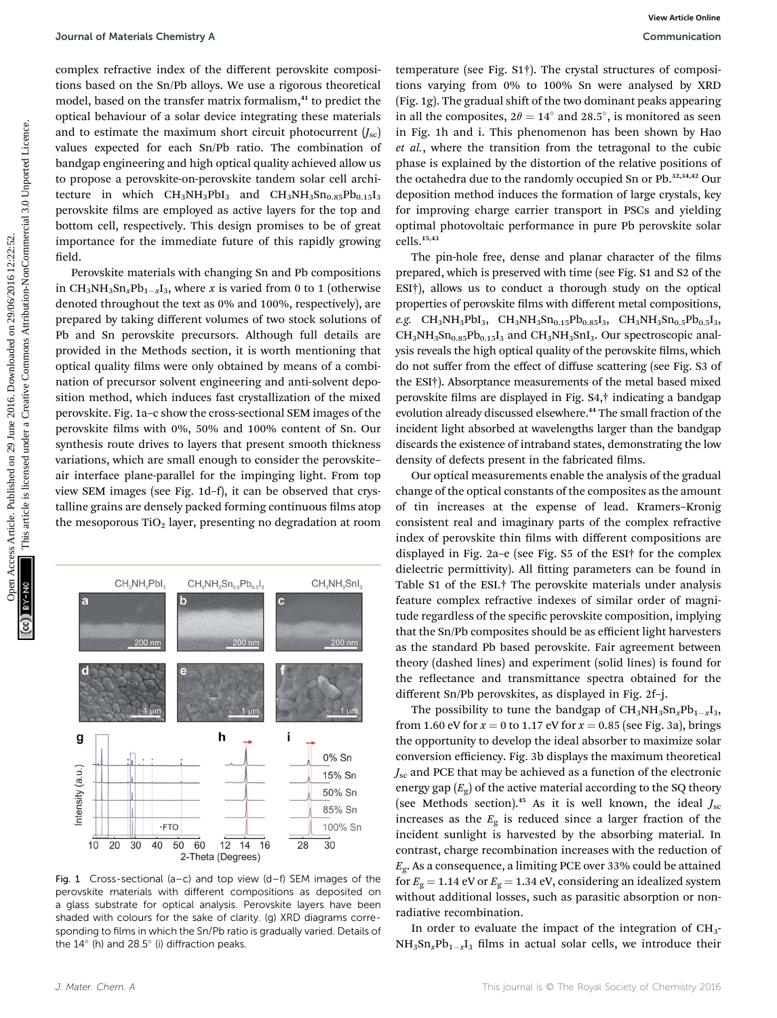complex refractive index of the different perovskite compositions based on the Sn/Pb alloys. We use a rigorous theoretical model, based on the transfer matrix formalism,<sup>41</sup> to predict the optical behaviour of a solar device integrating these materials and to estimate the maximum short circuit photocurrent  $(J_{\rm sc})$ values expected for each Sn/Pb ratio. The combination of bandgap engineering and high optical quality achieved allow us to propose a perovskite-on-perovskite tandem solar cell architecture in which  $CH_3NH_3PbI_3$  and  $CH_3NH_3Sn_{0.85}Pb_{0.15}I_3$ perovskite films are employed as active layers for the top and bottom cell, respectively. This design promises to be of great importance for the immediate future of this rapidly growing field.

Perovskite materials with changing Sn and Pb compositions in CH<sub>3</sub>NH<sub>3</sub>Sn<sub>x</sub>Pb<sub>1-x</sub>I<sub>3</sub>, where x is varied from 0 to 1 (otherwise denoted throughout the text as 0% and 100%, respectively), are prepared by taking different volumes of two stock solutions of Pb and Sn perovskite precursors. Although full details are provided in the Methods section, it is worth mentioning that optical quality films were only obtained by means of a combination of precursor solvent engineering and anti-solvent deposition method, which induces fast crystallization of the mixed perovskite. Fig. 1a–c show the cross-sectional SEM images of the perovskite films with 0%, 50% and 100% content of Sn. Our synthesis route drives to layers that present smooth thickness variations, which are small enough to consider the perovskite– air interface plane-parallel for the impinging light. From top view SEM images (see Fig. 1d–f), it can be observed that crystalline grains are densely packed forming continuous films atop the mesoporous  $TiO<sub>2</sub>$  layer, presenting no degradation at room Journal of Materials Chemitery Articles. One State Article is one are a figures are figures are figures are a figures are a figures are a figures are a figures are the solution-to-the and the solution-to-the solution-to-t



Fig. 1 Cross-sectional (a–c) and top view (d–f) SEM images of the perovskite materials with different compositions as deposited on a glass substrate for optical analysis. Perovskite layers have been shaded with colours for the sake of clarity. (g) XRD diagrams corresponding to films in which the Sn/Pb ratio is gradually varied. Details of the  $14^{\circ}$  (h) and  $28.5^{\circ}$  (i) diffraction peaks.

temperature (see Fig. S1†). The crystal structures of compositions varying from 0% to 100% Sn were analysed by XRD (Fig. 1g). The gradual shift of the two dominant peaks appearing in all the composites,  $2\theta = 14^\circ$  and 28.5°, is monitored as seen in Fig. 1h and i. This phenomenon has been shown by Hao et al., where the transition from the tetragonal to the cubic phase is explained by the distortion of the relative positions of the octahedra due to the randomly occupied Sn or Pb.<sup>32,34,42</sup> Our deposition method induces the formation of large crystals, key for improving charge carrier transport in PSCs and yielding optimal photovoltaic performance in pure Pb perovskite solar cells.15,43

The pin-hole free, dense and planar character of the films prepared, which is preserved with time (see Fig. S1 and S2 of the ESI†), allows us to conduct a thorough study on the optical properties of perovskite films with different metal compositions,  $e.g. \quad CH_3NH_3PbI_3, \quad CH_3NH_3Sn_{0.15}Pb_{0.85}I_3, \quad CH_3NH_3Sn_{0.5}Pb_{0.5}I_3,$  $CH_3NH_3Sn_{0.85}Pb_{0.15}I_3$  and  $CH_3NH_3SnI_3$ . Our spectroscopic analysis reveals the high optical quality of the perovskite films, which do not suffer from the effect of diffuse scattering (see Fig. S3 of the ESI†). Absorptance measurements of the metal based mixed perovskite films are displayed in Fig. S4,<sup>†</sup> indicating a bandgap evolution already discussed elsewhere.<sup>44</sup> The small fraction of the incident light absorbed at wavelengths larger than the bandgap discards the existence of intraband states, demonstrating the low density of defects present in the fabricated films.

Our optical measurements enable the analysis of the gradual change of the optical constants of the composites as the amount of tin increases at the expense of lead. Kramers–Kronig consistent real and imaginary parts of the complex refractive index of perovskite thin films with different compositions are displayed in Fig. 2a–e (see Fig. S5 of the ESI† for the complex dielectric permittivity). All fitting parameters can be found in Table S1 of the ESI.† The perovskite materials under analysis feature complex refractive indexes of similar order of magnitude regardless of the specific perovskite composition, implying that the Sn/Pb composites should be as efficient light harvesters as the standard Pb based perovskite. Fair agreement between theory (dashed lines) and experiment (solid lines) is found for the reflectance and transmittance spectra obtained for the different Sn/Pb perovskites, as displayed in Fig. 2f–j.

The possibility to tune the bandgap of  $CH_3NH_3Sn_xPb_{1-x}I_3$ , from 1.60 eV for  $x = 0$  to 1.17 eV for  $x = 0.85$  (see Fig. 3a), brings the opportunity to develop the ideal absorber to maximize solar conversion efficiency. Fig. 3b displays the maximum theoretical  $J_{\rm sc}$  and PCE that may be achieved as a function of the electronic energy gap  $(E_{\rm g})$  of the active material according to the SQ theory (see Methods section).<sup>45</sup> As it is well known, the ideal  $J_{\rm sc}$ increases as the  $E<sub>g</sub>$  is reduced since a larger fraction of the incident sunlight is harvested by the absorbing material. In contrast, charge recombination increases with the reduction of  $E_{\rm g}$ . As a consequence, a limiting PCE over 33% could be attained for  $E_g = 1.14$  eV or  $E_g = 1.34$  eV, considering an idealized system without additional losses, such as parasitic absorption or nonradiative recombination.

In order to evaluate the impact of the integration of CH<sub>3</sub>- $NH<sub>3</sub>Sn<sub>x</sub>Pb<sub>1-x</sub>I<sub>3</sub>$  films in actual solar cells, we introduce their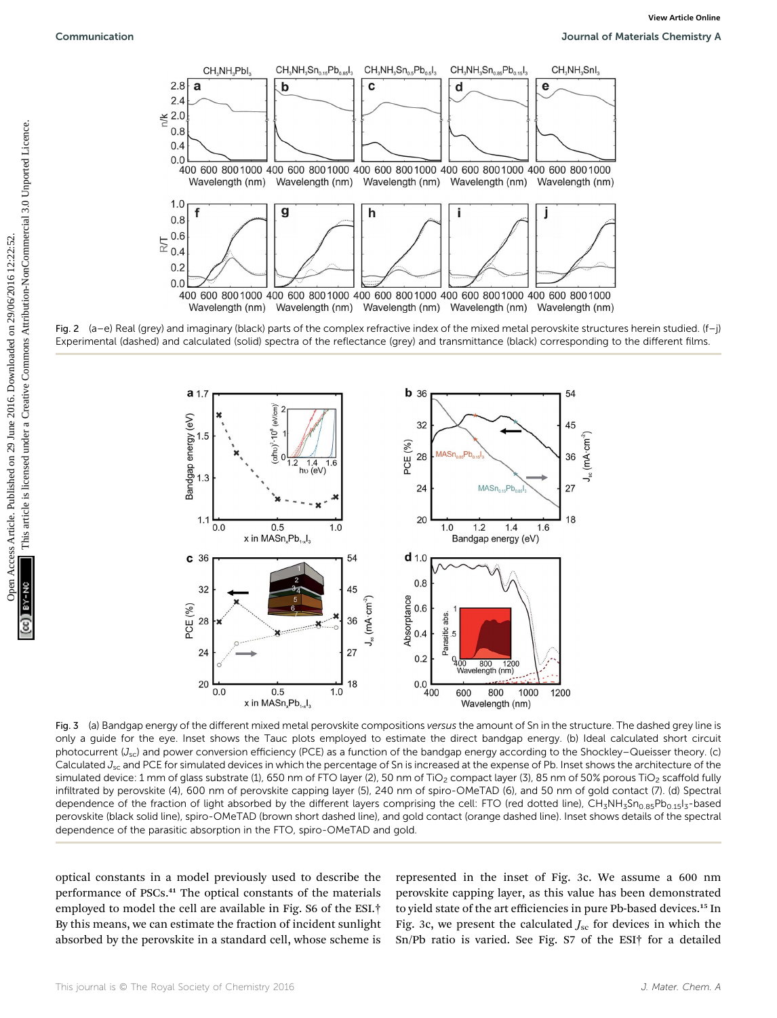

Fig. 2 (a–e) Real (grey) and imaginary (black) parts of the complex refractive index of the mixed metal perovskite structures herein studied. (f–j) Experimental (dashed) and calculated (solid) spectra of the reflectance (grey) and transmittance (black) corresponding to the different films.



Fig. 3 (a) Bandgap energy of the different mixed metal perovskite compositions versus the amount of Sn in the structure. The dashed grey line is only a guide for the eye. Inset shows the Tauc plots employed to estimate the direct bandgap energy. (b) Ideal calculated short circuit photocurrent  $(J_{sc})$  and power conversion efficiency (PCE) as a function of the bandgap energy according to the Shockley–Queisser theory. (c) Calculated  $J_{sc}$  and PCE for simulated devices in which the percentage of Sn is increased at the expense of Pb. Inset shows the architecture of the simulated device: 1 mm of glass substrate (1), 650 nm of FTO layer (2), 50 nm of TiO<sub>2</sub> compact layer (3), 85 nm of 50% porous TiO<sub>2</sub> scaffold fully infiltrated by perovskite (4), 600 nm of perovskite capping layer (5), 240 nm of spiro-OMeTAD (6), and 50 nm of gold contact (7). (d) Spectral dependence of the fraction of light absorbed by the different layers comprising the cell: FTO (red dotted line), CH<sub>3</sub>NH<sub>3</sub>Sn<sub>0.85</sub>Pb<sub>0.15</sub>I<sub>3</sub>-based perovskite (black solid line), spiro-OMeTAD (brown short dashed line), and gold contact (orange dashed line). Inset shows details of the spectral dependence of the parasitic absorption in the FTO, spiro-OMeTAD and gold.

optical constants in a model previously used to describe the performance of PSCs.<sup>41</sup> The optical constants of the materials employed to model the cell are available in Fig. S6 of the ESI.† By this means, we can estimate the fraction of incident sunlight absorbed by the perovskite in a standard cell, whose scheme is

represented in the inset of Fig. 3c. We assume a 600 nm perovskite capping layer, as this value has been demonstrated to yield state of the art efficiencies in pure Pb-based devices.<sup>15</sup> In Fig. 3c, we present the calculated  $J_{\rm sc}$  for devices in which the Sn/Pb ratio is varied. See Fig. S7 of the ESI† for a detailed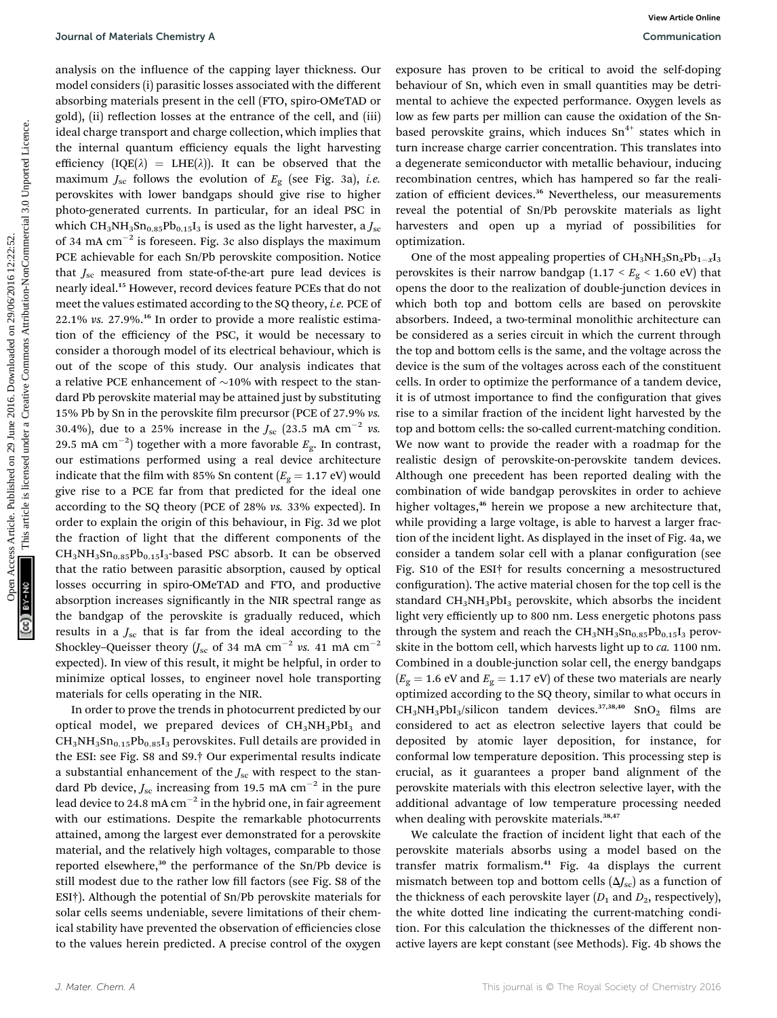analysis on the influence of the capping layer thickness. Our model considers (i) parasitic losses associated with the different absorbing materials present in the cell (FTO, spiro-OMeTAD or gold), (ii) reflection losses at the entrance of the cell, and (iii) ideal charge transport and charge collection, which implies that the internal quantum efficiency equals the light harvesting efficiency  $[IQE(\lambda) = LHE(\lambda)]$ . It can be observed that the maximum  $J_{\rm sc}$  follows the evolution of  $E_{\rm g}$  (see Fig. 3a), *i.e.* perovskites with lower bandgaps should give rise to higher photo-generated currents. In particular, for an ideal PSC in which CH<sub>3</sub>NH<sub>3</sub>Sn<sub>0.85</sub>Pb<sub>0.15</sub>I<sub>3</sub> is used as the light harvester, a  $J_{\rm sc}$ of 34 mA  $cm^{-2}$  is foreseen. Fig. 3c also displays the maximum PCE achievable for each Sn/Pb perovskite composition. Notice that  $J_{\rm sc}$  measured from state-of-the-art pure lead devices is nearly ideal.<sup>15</sup> However, record devices feature PCEs that do not meet the values estimated according to the SQ theory, i.e. PCE of  $22.1\%$  vs.  $27.9\%$ <sup>16</sup> In order to provide a more realistic estimation of the efficiency of the PSC, it would be necessary to consider a thorough model of its electrical behaviour, which is out of the scope of this study. Our analysis indicates that a relative PCE enhancement of  $\sim$ 10% with respect to the standard Pb perovskite material may be attained just by substituting 15% Pb by Sn in the perovskite film precursor (PCE of 27.9% vs. 30.4%), due to a 25% increase in the  $J_{\rm sc}$  (23.5 mA cm<sup>-2</sup> vs. 29.5 mA  $\rm cm^{-2})$  together with a more favorable  $E_{\rm g}$ . In contrast, our estimations performed using a real device architecture indicate that the film with 85% Sn content  $(E<sub>g</sub> = 1.17 \text{ eV})$  would give rise to a PCE far from that predicted for the ideal one according to the SQ theory (PCE of 28% vs. 33% expected). In order to explain the origin of this behaviour, in Fig. 3d we plot the fraction of light that the different components of the  $CH<sub>3</sub>NH<sub>3</sub>Sn<sub>0.85</sub>Pb<sub>0.15</sub>I<sub>3</sub>$ -based PSC absorb. It can be observed that the ratio between parasitic absorption, caused by optical losses occurring in spiro-OMeTAD and FTO, and productive absorption increases significantly in the NIR spectral range as the bandgap of the perovskite is gradually reduced, which results in a  $J_{\rm sc}$  that is far from the ideal according to the Shockley–Queisser theory ( $J_{\rm sc}$  of 34 mA cm<sup>-2</sup> vs. 41 mA cm<sup>-2</sup> expected). In view of this result, it might be helpful, in order to minimize optical losses, to engineer novel hole transporting materials for cells operating in the NIR. Journal of Materials Chemitery Article consistent on 29/09/2016 2016. On 29/06/2016 2016 2016/2016 2016/2016 2016/2016 2016/2016 2016/2016 2016/2016 2016/2016 2016/2016 2016/2016 2016/2016 2016/2016 2016/2016 2016/2016 20

In order to prove the trends in photocurrent predicted by our optical model, we prepared devices of  $CH<sub>3</sub>NH<sub>3</sub>PbI<sub>3</sub>$  and  $CH<sub>3</sub>NH<sub>3</sub>Sn<sub>0.15</sub>Pb<sub>0.85</sub>I<sub>3</sub>$  perovskites. Full details are provided in the ESI: see Fig. S8 and S9.† Our experimental results indicate a substantial enhancement of the  $J_{\rm sc}$  with respect to the standard Pb device,  $J_{\rm sc}$  increasing from 19.5 mA cm<sup>-2</sup> in the pure lead device to 24.8 mA  $cm^{-2}$  in the hybrid one, in fair agreement with our estimations. Despite the remarkable photocurrents attained, among the largest ever demonstrated for a perovskite material, and the relatively high voltages, comparable to those reported elsewhere,<sup>30</sup> the performance of the Sn/Pb device is still modest due to the rather low fill factors (see Fig. S8 of the ESI†). Although the potential of Sn/Pb perovskite materials for solar cells seems undeniable, severe limitations of their chemical stability have prevented the observation of efficiencies close to the values herein predicted. A precise control of the oxygen

exposure has proven to be critical to avoid the self-doping behaviour of Sn, which even in small quantities may be detrimental to achieve the expected performance. Oxygen levels as low as few parts per million can cause the oxidation of the Snbased perovskite grains, which induces  $Sn^{4+}$  states which in turn increase charge carrier concentration. This translates into a degenerate semiconductor with metallic behaviour, inducing recombination centres, which has hampered so far the realization of efficient devices.<sup>36</sup> Nevertheless, our measurements reveal the potential of Sn/Pb perovskite materials as light harvesters and open up a myriad of possibilities for optimization.

One of the most appealing properties of  $CH_3NH_3Sn_xPb_{1-x}I_3$ perovskites is their narrow bandgap (1.17 <  $E_{\rm g}$  < 1.60 eV) that opens the door to the realization of double-junction devices in which both top and bottom cells are based on perovskite absorbers. Indeed, a two-terminal monolithic architecture can be considered as a series circuit in which the current through the top and bottom cells is the same, and the voltage across the device is the sum of the voltages across each of the constituent cells. In order to optimize the performance of a tandem device, it is of utmost importance to find the configuration that gives rise to a similar fraction of the incident light harvested by the top and bottom cells: the so-called current-matching condition. We now want to provide the reader with a roadmap for the realistic design of perovskite-on-perovskite tandem devices. Although one precedent has been reported dealing with the combination of wide bandgap perovskites in order to achieve higher voltages,<sup>46</sup> herein we propose a new architecture that, while providing a large voltage, is able to harvest a larger fraction of the incident light. As displayed in the inset of Fig. 4a, we consider a tandem solar cell with a planar configuration (see Fig. S10 of the ESI† for results concerning a mesostructured configuration). The active material chosen for the top cell is the standard  $CH_3NH_3PbI_3$  perovskite, which absorbs the incident light very efficiently up to 800 nm. Less energetic photons pass through the system and reach the  $CH<sub>3</sub>NH<sub>3</sub>Sn<sub>0.85</sub>Pb<sub>0.15</sub>I<sub>3</sub>$  perovskite in the bottom cell, which harvests light up to ca. 1100 nm. Combined in a double-junction solar cell, the energy bandgaps  $(E<sub>g</sub> = 1.6$  eV and  $E<sub>g</sub> = 1.17$  eV) of these two materials are nearly optimized according to the SQ theory, similar to what occurs in  $CH_3NH_3PbI_3/silicon$  tandem devices.<sup>37,38,40</sup> SnO<sub>2</sub> films are considered to act as electron selective layers that could be deposited by atomic layer deposition, for instance, for conformal low temperature deposition. This processing step is crucial, as it guarantees a proper band alignment of the perovskite materials with this electron selective layer, with the additional advantage of low temperature processing needed when dealing with perovskite materials.<sup>38,47</sup>

We calculate the fraction of incident light that each of the perovskite materials absorbs using a model based on the transfer matrix formalism.<sup>41</sup> Fig. 4a displays the current mismatch between top and bottom cells  $(\Delta J_{\rm sc})$  as a function of the thickness of each perovskite layer  $(D_1 \text{ and } D_2)$ , respectively), the white dotted line indicating the current-matching condition. For this calculation the thicknesses of the different nonactive layers are kept constant (see Methods). Fig. 4b shows the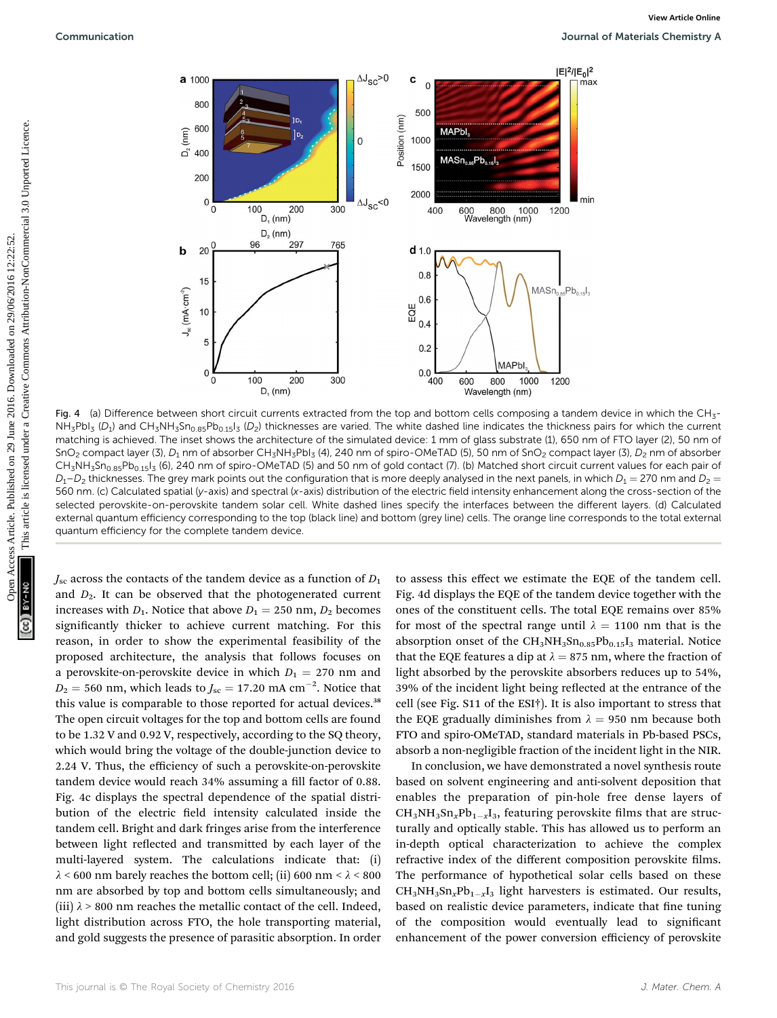

Fig. 4 (a) Difference between short circuit currents extracted from the top and bottom cells composing a tandem device in which the CH<sub>3</sub>- $NH_3Pb1_3$  (D<sub>1</sub>) and CH<sub>3</sub>NH<sub>3</sub>Sn<sub>0.85</sub>Pb<sub>0.15</sub>I<sub>3</sub> (D<sub>2</sub>) thicknesses are varied. The white dashed line indicates the thickness pairs for which the current matching is achieved. The inset shows the architecture of the simulated device: 1 mm of glass substrate (1), 650 nm of FTO layer (2), 50 nm of SnO<sub>2</sub> compact layer (3), D<sub>1</sub> nm of absorber CH<sub>3</sub>NH<sub>3</sub>PbI<sub>3</sub> (4), 240 nm of spiro-OMeTAD (5), 50 nm of SnO<sub>2</sub> compact layer (3), D<sub>2</sub> nm of absorber CH<sub>3</sub>NH<sub>3</sub>Sn<sub>0.85</sub>Pb<sub>0.15</sub>I<sub>3</sub> (6), 240 nm of spiro-OMeTAD (5) and 50 nm of gold contact (7). (b) Matched short circuit current values for each pair of  $D_1-D_2$  thicknesses. The grey mark points out the configuration that is more deeply analysed in the next panels, in which  $D_1 = 270$  nm and  $D_2 = 270$ 560 nm. (c) Calculated spatial (y-axis) and spectral (x-axis) distribution of the electric field intensity enhancement along the cross-section of the selected perovskite-on-perovskite tandem solar cell. White dashed lines specify the interfaces between the different layers. (d) Calculated external quantum efficiency corresponding to the top (black line) and bottom (grey line) cells. The orange line corresponds to the total external quantum efficiency for the complete tandem device.

 $J_{\rm sc}$  across the contacts of the tandem device as a function of  $D_1$ and  $D_2$ . It can be observed that the photogenerated current increases with  $D_1$ . Notice that above  $D_1 = 250$  nm,  $D_2$  becomes significantly thicker to achieve current matching. For this reason, in order to show the experimental feasibility of the proposed architecture, the analysis that follows focuses on a perovskite-on-perovskite device in which  $D_1 = 270$  nm and  $D_2 = 560$  nm, which leads to  $J_{\rm sc} = 17.20$  mA cm<sup>-2</sup>. Notice that this value is comparable to those reported for actual devices.<sup>38</sup> The open circuit voltages for the top and bottom cells are found to be 1.32 V and 0.92 V, respectively, according to the SQ theory, which would bring the voltage of the double-junction device to 2.24 V. Thus, the efficiency of such a perovskite-on-perovskite tandem device would reach 34% assuming a fill factor of 0.88. Fig. 4c displays the spectral dependence of the spatial distribution of the electric field intensity calculated inside the tandem cell. Bright and dark fringes arise from the interference between light reflected and transmitted by each layer of the multi-layered system. The calculations indicate that: (i)  $\lambda$  < 600 nm barely reaches the bottom cell; (ii) 600 nm <  $\lambda$  < 800 nm are absorbed by top and bottom cells simultaneously; and (iii)  $\lambda$  > 800 nm reaches the metallic contact of the cell. Indeed, light distribution across FTO, the hole transporting material, and gold suggests the presence of parasitic absorption. In order

to assess this effect we estimate the EQE of the tandem cell. Fig. 4d displays the EQE of the tandem device together with the ones of the constituent cells. The total EQE remains over 85% for most of the spectral range until  $\lambda = 1100$  nm that is the absorption onset of the  $CH_3NH_3Sn_{0.85}Pb_{0.15}I_3$  material. Notice that the EQE features a dip at  $\lambda = 875$  nm, where the fraction of light absorbed by the perovskite absorbers reduces up to 54%, 39% of the incident light being reflected at the entrance of the cell (see Fig. S11 of the ESI†). It is also important to stress that the EQE gradually diminishes from  $\lambda = 950$  nm because both FTO and spiro-OMeTAD, standard materials in Pb-based PSCs, absorb a non-negligible fraction of the incident light in the NIR.

In conclusion, we have demonstrated a novel synthesis route based on solvent engineering and anti-solvent deposition that enables the preparation of pin-hole free dense layers of  $CH_3NH_3Sn_xPb_{1-x}I_3$ , featuring perovskite films that are structurally and optically stable. This has allowed us to perform an in-depth optical characterization to achieve the complex refractive index of the different composition perovskite films. The performance of hypothetical solar cells based on these  $CH_3NH_3Sn_xPb_{1-x}I_3$  light harvesters is estimated. Our results, based on realistic device parameters, indicate that fine tuning of the composition would eventually lead to signicant enhancement of the power conversion efficiency of perovskite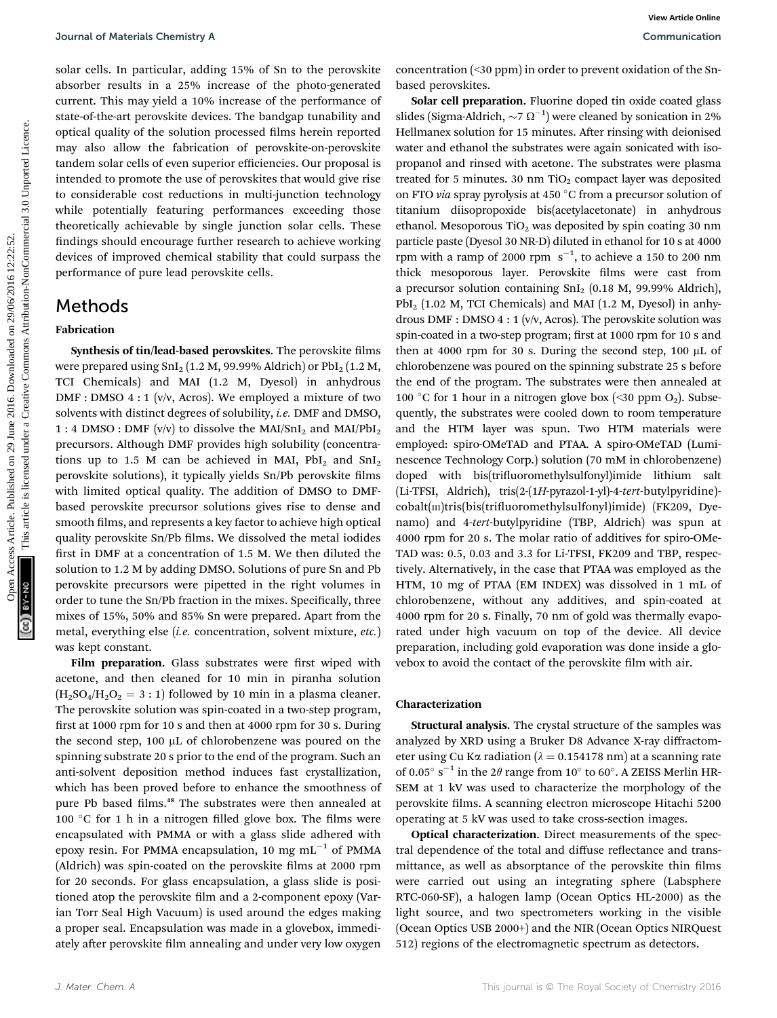solar cells. In particular, adding 15% of Sn to the perovskite absorber results in a 25% increase of the photo-generated current. This may yield a 10% increase of the performance of state-of-the-art perovskite devices. The bandgap tunability and optical quality of the solution processed films herein reported may also allow the fabrication of perovskite-on-perovskite tandem solar cells of even superior efficiencies. Our proposal is intended to promote the use of perovskites that would give rise to considerable cost reductions in multi-junction technology while potentially featuring performances exceeding those theoretically achievable by single junction solar cells. These ndings should encourage further research to achieve working devices of improved chemical stability that could surpass the performance of pure lead perovskite cells.

## Methods

### Fabrication

Synthesis of tin/lead-based perovskites. The perovskite films were prepared using  $SnI<sub>2</sub>(1.2 M, 99.99%$  Aldrich) or  $PbI<sub>2</sub>(1.2 M, 99.99%$ TCI Chemicals) and MAI (1.2 M, Dyesol) in anhydrous DMF : DMSO 4 : 1 (v/v, Acros). We employed a mixture of two solvents with distinct degrees of solubility, i.e. DMF and DMSO, 1 : 4 DMSO : DMF (v/v) to dissolve the MAI/SnI<sub>2</sub> and MAI/PbI<sub>2</sub> precursors. Although DMF provides high solubility (concentrations up to 1.5 M can be achieved in MAI,  $PbI_2$  and  $SnI_2$ perovskite solutions), it typically yields Sn/Pb perovskite films with limited optical quality. The addition of DMSO to DMFbased perovskite precursor solutions gives rise to dense and smooth films, and represents a key factor to achieve high optical quality perovskite Sn/Pb films. We dissolved the metal iodides first in DMF at a concentration of 1.5 M. We then diluted the solution to 1.2 M by adding DMSO. Solutions of pure Sn and Pb perovskite precursors were pipetted in the right volumes in order to tune the Sn/Pb fraction in the mixes. Specifically, three mixes of 15%, 50% and 85% Sn were prepared. Apart from the metal, everything else (i.e. concentration, solvent mixture, etc.) was kept constant.

Film preparation. Glass substrates were first wiped with acetone, and then cleaned for 10 min in piranha solution  $(H<sub>2</sub>SO<sub>4</sub>/H<sub>2</sub>O<sub>2</sub> = 3 : 1)$  followed by 10 min in a plasma cleaner. The perovskite solution was spin-coated in a two-step program, first at 1000 rpm for 10 s and then at 4000 rpm for 30 s. During the second step, 100 µL of chlorobenzene was poured on the spinning substrate 20 s prior to the end of the program. Such an anti-solvent deposition method induces fast crystallization, which has been proved before to enhance the smoothness of pure Pb based films.<sup>48</sup> The substrates were then annealed at 100 °C for 1 h in a nitrogen filled glove box. The films were encapsulated with PMMA or with a glass slide adhered with epoxy resin. For PMMA encapsulation, 10 mg  $mL^{-1}$  of PMMA (Aldrich) was spin-coated on the perovskite films at 2000 rpm for 20 seconds. For glass encapsulation, a glass slide is positioned atop the perovskite film and a 2-component epoxy (Varian Torr Seal High Vacuum) is used around the edges making a proper seal. Encapsulation was made in a glovebox, immediately after perovskite film annealing and under very low oxygen

concentration (<30 ppm) in order to prevent oxidation of the Snbased perovskites.

Solar cell preparation. Fluorine doped tin oxide coated glass slides (Sigma-Aldrich,  $\sim$ 7 $\Omega^{-1}$ ) were cleaned by sonication in 2% Hellmanex solution for 15 minutes. After rinsing with deionised water and ethanol the substrates were again sonicated with isopropanol and rinsed with acetone. The substrates were plasma treated for 5 minutes. 30 nm  $TiO<sub>2</sub>$  compact layer was deposited on FTO via spray pyrolysis at 450  $^{\circ}$ C from a precursor solution of titanium diisopropoxide bis(acetylacetonate) in anhydrous ethanol. Mesoporous TiO<sub>2</sub> was deposited by spin coating 30 nm particle paste (Dyesol 30 NR-D) diluted in ethanol for 10 s at 4000 rpm with a ramp of 2000 rpm  $s^{-1}$ , to achieve a 150 to 200 nm thick mesoporous layer. Perovskite films were cast from a precursor solution containing  $SnI<sub>2</sub>$  (0.18 M, 99.99% Aldrich),  $PbI<sub>2</sub>$  (1.02 M, TCI Chemicals) and MAI (1.2 M, Dyesol) in anhydrous DMF : DMSO 4 : 1 (v/v, Acros). The perovskite solution was spin-coated in a two-step program; first at 1000 rpm for 10 s and then at 4000 rpm for 30 s. During the second step, 100  $\mu$ L of chlorobenzene was poured on the spinning substrate 25 s before the end of the program. The substrates were then annealed at 100 °C for 1 hour in a nitrogen glove box (<30 ppm  $O_2$ ). Subsequently, the substrates were cooled down to room temperature and the HTM layer was spun. Two HTM materials were employed: spiro-OMeTAD and PTAA. A spiro-OMeTAD (Luminescence Technology Corp.) solution (70 mM in chlorobenzene) doped with bis(trifluoromethylsulfonyl)imide lithium salt (Li-TFSI, Aldrich), tris(2-(1H-pyrazol-1-yl)-4-tert-butylpyridine) cobalt(m)tris(bis(trifluoromethylsulfonyl)imide) (FK209, Dyenamo) and 4-tert-butylpyridine (TBP, Aldrich) was spun at 4000 rpm for 20 s. The molar ratio of additives for spiro-OMe-TAD was: 0.5, 0.03 and 3.3 for Li-TFSI, FK209 and TBP, respectively. Alternatively, in the case that PTAA was employed as the HTM, 10 mg of PTAA (EM INDEX) was dissolved in 1 mL of chlorobenzene, without any additives, and spin-coated at 4000 rpm for 20 s. Finally, 70 nm of gold was thermally evaporated under high vacuum on top of the device. All device preparation, including gold evaporation was done inside a glovebox to avoid the contact of the perovskite film with air. Journal of Materials Chemitery Articles. The pure Sole Decomposition (50 pm) in onle to present a high state of the policies are the policies are the policies are the policies are the policies are the policies are the pol

### Characterization

Structural analysis. The crystal structure of the samples was analyzed by XRD using a Bruker D8 Advance X-ray diffractometer using Cu Ka radiation ( $\lambda = 0.154178$  nm) at a scanning rate of 0.05 $^{\circ}$  s<sup>-1</sup> in the 2 $\theta$  range from 10 $^{\circ}$  to 60 $^{\circ}$ . A ZEISS Merlin HR-SEM at 1 kV was used to characterize the morphology of the perovskite films. A scanning electron microscope Hitachi 5200 operating at 5 kV was used to take cross-section images.

Optical characterization. Direct measurements of the spectral dependence of the total and diffuse reflectance and transmittance, as well as absorptance of the perovskite thin films were carried out using an integrating sphere (Labsphere RTC-060-SF), a halogen lamp (Ocean Optics HL-2000) as the light source, and two spectrometers working in the visible (Ocean Optics USB 2000+) and the NIR (Ocean Optics NIRQuest 512) regions of the electromagnetic spectrum as detectors.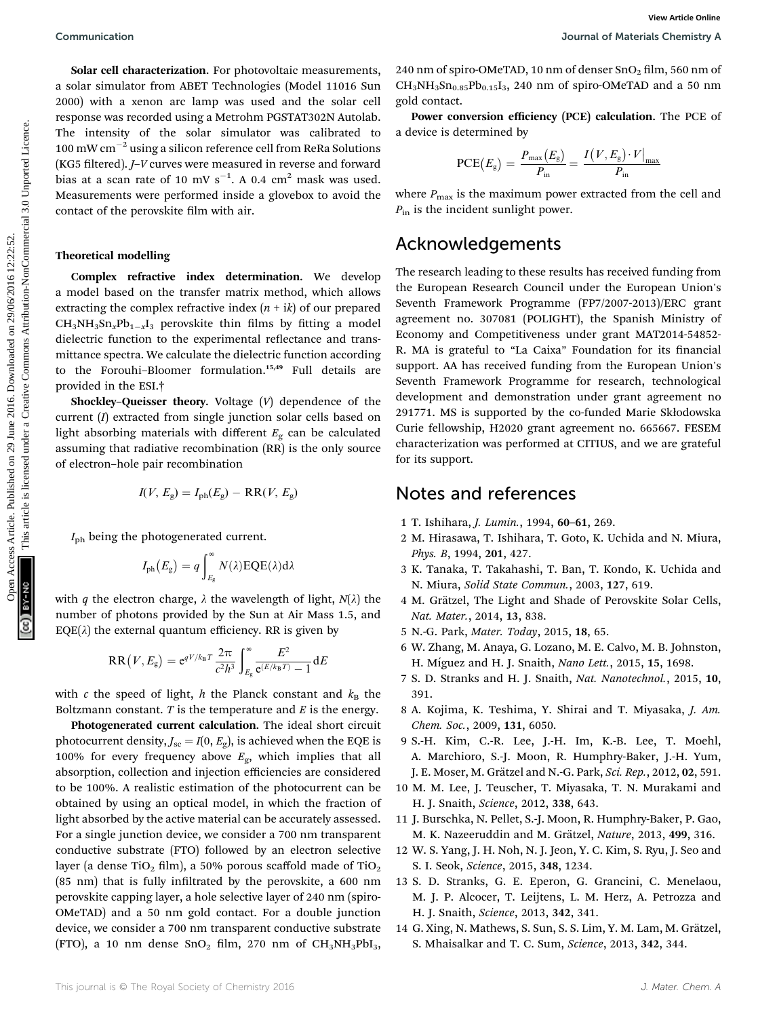Solar cell characterization. For photovoltaic measurements, a solar simulator from ABET Technologies (Model 11016 Sun 2000) with a xenon arc lamp was used and the solar cell response was recorded using a Metrohm PGSTAT302N Autolab. The intensity of the solar simulator was calibrated to  $100\text{ }\mathrm{mW}\mathrm{~cm}^{-2}$  using a silicon reference cell from ReRa Solutions (KG5 filtered). J-V curves were measured in reverse and forward bias at a scan rate of 10 mV  $s^{-1}$ . A 0.4 cm<sup>2</sup> mask was used. Measurements were performed inside a glovebox to avoid the contact of the perovskite film with air.

### Theoretical modelling

Complex refractive index determination. We develop a model based on the transfer matrix method, which allows extracting the complex refractive index  $(n + i k)$  of our prepared  $CH_3NH_3Sn_xPb_{1-x}I_3$  perovskite thin films by fitting a model dielectric function to the experimental reflectance and transmittance spectra. We calculate the dielectric function according to the Forouhi-Bloomer formulation.<sup>15,49</sup> Full details are provided in the ESI.†

Shockley–Queisser theory. Voltage  $(V)$  dependence of the current (I) extracted from single junction solar cells based on light absorbing materials with different  $E_g$  can be calculated assuming that radiative recombination (RR) is the only source of electron–hole pair recombination

$$
I(V, E_{g}) = I_{ph}(E_{g}) - RR(V, E_{g})
$$

 $I_{\rm ph}$  being the photogenerated current.

$$
I_{\textrm{ph}}\big(E_{\textrm{g}}\big)=q\int_{E_{\textrm{g}}}^{\infty}N(\lambda)\textrm{EQE}(\lambda)\textrm{d}\lambda
$$

with q the electron charge,  $\lambda$  the wavelength of light,  $N(\lambda)$  the number of photons provided by the Sun at Air Mass 1.5, and  $EQE(\lambda)$  the external quantum efficiency. RR is given by

$$
RR(V, E_{g}) = e^{qV/k_{B}T} \frac{2\pi}{c^{2}h^{3}} \int_{E_{g}}^{\infty} \frac{E^{2}}{e^{(E/k_{B}T)} - 1} dE
$$

with c the speed of light, h the Planck constant and  $k_B$  the Boltzmann constant.  $T$  is the temperature and  $E$  is the energy.

Photogenerated current calculation. The ideal short circuit photocurrent density,  $J_{\rm sc} = I(0, E_{\rm g})$ , is achieved when the EQE is 100% for every frequency above  $E_{\rm g}$ , which implies that all absorption, collection and injection efficiencies are considered to be 100%. A realistic estimation of the photocurrent can be obtained by using an optical model, in which the fraction of light absorbed by the active material can be accurately assessed. For a single junction device, we consider a 700 nm transparent conductive substrate (FTO) followed by an electron selective layer (a dense TiO<sub>2</sub> film), a 50% porous scaffold made of TiO<sub>2</sub>  $(85 \text{ nm})$  that is fully infiltrated by the perovskite, a 600 nm perovskite capping layer, a hole selective layer of 240 nm (spiro-OMeTAD) and a 50 nm gold contact. For a double junction device, we consider a 700 nm transparent conductive substrate (FTO), a 10 nm dense  $SnO<sub>2</sub>$  film, 270 nm of  $CH<sub>3</sub>NH<sub>3</sub>PbI<sub>3</sub>$ ,

240 nm of spiro-OMeTAD, 10 nm of denser  $SnO<sub>2</sub>$  film, 560 nm of  $CH_3NH_3Sn_{0.85}Pb_{0.15}I_3$ , 240 nm of spiro-OMeTAD and a 50 nm gold contact.

Power conversion efficiency (PCE) calculation. The PCE of a device is determined by

$$
\mathrm{PCE}(E_{\mathrm{g}}) = \frac{P_{\mathrm{max}}(E_{\mathrm{g}})}{P_{\mathrm{in}}} = \frac{I(V, E_{\mathrm{g}}) \cdot V|_{\mathrm{max}}}{P_{\mathrm{in}}}
$$

where  $P_{\text{max}}$  is the maximum power extracted from the cell and  $P_{\text{in}}$  is the incident sunlight power.

## Acknowledgements

The research leading to these results has received funding from the European Research Council under the European Union's Seventh Framework Programme (FP7/2007-2013)/ERC grant agreement no. 307081 (POLIGHT), the Spanish Ministry of Economy and Competitiveness under grant MAT2014-54852- R. MA is grateful to "La Caixa" Foundation for its financial support. AA has received funding from the European Union's Seventh Framework Programme for research, technological development and demonstration under grant agreement no 291771. MS is supported by the co-funded Marie Skłodowska Curie fellowship, H2020 grant agreement no. 665667. FESEM characterization was performed at CITIUS, and we are grateful for its support. Communication<br>
Solar cell characterization, For photosyolaris measurements, 240 nm of spin-OMeTAD, 10 nm of shemes Sort<sub>E</sub> filin, 560 nm of<br>
2016 with a second article is like the common and the common and the common and

## Notes and references

- 1 T. Ishihara, J. Lumin., 1994, 60–61, 269.
- 2 M. Hirasawa, T. Ishihara, T. Goto, K. Uchida and N. Miura, Phys. B, 1994, 201, 427.
- 3 K. Tanaka, T. Takahashi, T. Ban, T. Kondo, K. Uchida and N. Miura, Solid State Commun., 2003, 127, 619.
- 4 M. Grätzel, The Light and Shade of Perovskite Solar Cells, Nat. Mater., 2014, 13, 838.
- 5 N.-G. Park, Mater. Today, 2015, 18, 65.
- 6 W. Zhang, M. Anaya, G. Lozano, M. E. Calvo, M. B. Johnston, H. Míguez and H. J. Snaith, Nano Lett., 2015, 15, 1698.
- 7 S. D. Stranks and H. J. Snaith, Nat. Nanotechnol., 2015, 10, 391.
- 8 A. Kojima, K. Teshima, Y. Shirai and T. Miyasaka, J. Am. Chem. Soc., 2009, 131, 6050.
- 9 S.-H. Kim, C.-R. Lee, J.-H. Im, K.-B. Lee, T. Moehl, A. Marchioro, S.-J. Moon, R. Humphry-Baker, J.-H. Yum, J. E. Moser, M. Grätzel and N.-G. Park, Sci. Rep., 2012, 02, 591.
- 10 M. M. Lee, J. Teuscher, T. Miyasaka, T. N. Murakami and H. J. Snaith, Science, 2012, 338, 643.
- 11 J. Burschka, N. Pellet, S.-J. Moon, R. Humphry-Baker, P. Gao, M. K. Nazeeruddin and M. Grätzel, Nature, 2013, 499, 316.
- 12 W. S. Yang, J. H. Noh, N. J. Jeon, Y. C. Kim, S. Ryu, J. Seo and S. I. Seok, Science, 2015, 348, 1234.
- 13 S. D. Stranks, G. E. Eperon, G. Grancini, C. Menelaou, M. J. P. Alcocer, T. Leijtens, L. M. Herz, A. Petrozza and H. J. Snaith, Science, 2013, 342, 341.
- 14 G. Xing, N. Mathews, S. Sun, S. S. Lim, Y. M. Lam, M. Grätzel, S. Mhaisalkar and T. C. Sum, Science, 2013, 342, 344.